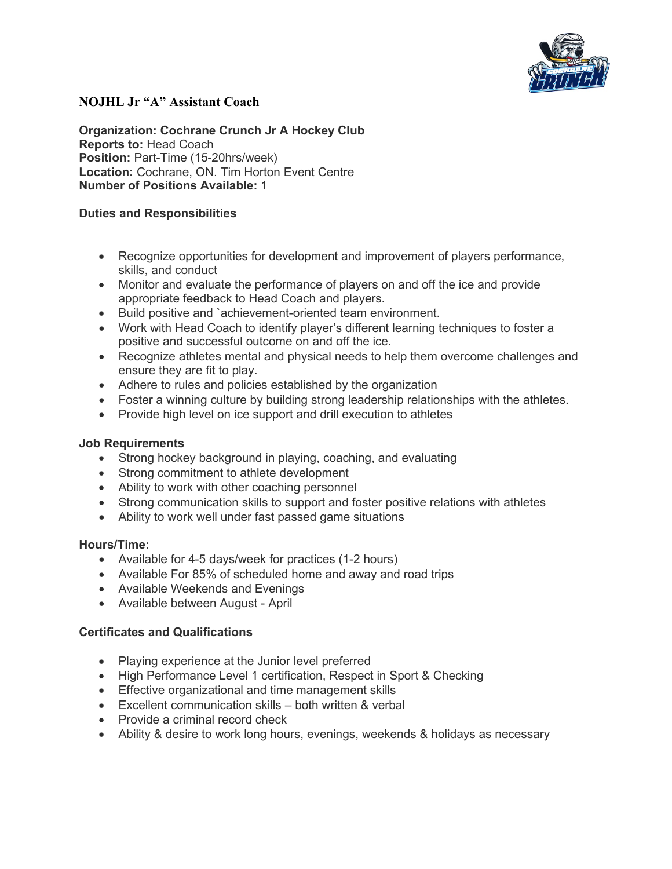

# **NOJHL Jr "A" Assistant Coach**

**Organization: Cochrane Crunch Jr A Hockey Club Reports to:** Head Coach **Position:** Part-Time (15-20hrs/week) **Location:** Cochrane, ON. Tim Horton Event Centre **Number of Positions Available:** 1

### **Duties and Responsibilities**

- Recognize opportunities for development and improvement of players performance, skills, and conduct
- Monitor and evaluate the performance of players on and off the ice and provide appropriate feedback to Head Coach and players.
- Build positive and `achievement-oriented team environment.
- Work with Head Coach to identify player's different learning techniques to foster a positive and successful outcome on and off the ice.
- Recognize athletes mental and physical needs to help them overcome challenges and ensure they are fit to play.
- Adhere to rules and policies established by the organization
- Foster a winning culture by building strong leadership relationships with the athletes.
- Provide high level on ice support and drill execution to athletes

## **Job Requirements**

- Strong hockey background in playing, coaching, and evaluating
- Strong commitment to athlete development
- Ability to work with other coaching personnel
- Strong communication skills to support and foster positive relations with athletes
- Ability to work well under fast passed game situations

### **Hours/Time:**

- Available for 4-5 days/week for practices (1-2 hours)
- Available For 85% of scheduled home and away and road trips
- Available Weekends and Evenings
- Available between August April

## **Certificates and Qualifications**

- Playing experience at the Junior level preferred
- High Performance Level 1 certification, Respect in Sport & Checking
- Effective organizational and time management skills
- Excellent communication skills both written & verbal
- Provide a criminal record check
- Ability & desire to work long hours, evenings, weekends & holidays as necessary